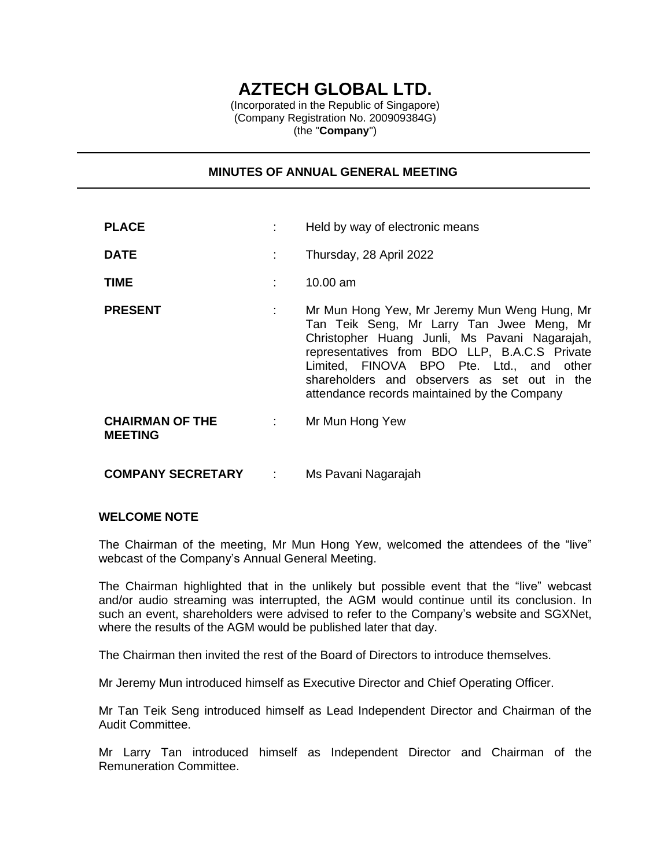# **AZTECH GLOBAL LTD.**

(Incorporated in the Republic of Singapore) (Company Registration No. 200909384G) (the "**Company**")

### **MINUTES OF ANNUAL GENERAL MEETING**

| <b>PLACE</b>                             |         | Held by way of electronic means                                                                                                                                                                                                                                                                                                         |
|------------------------------------------|---------|-----------------------------------------------------------------------------------------------------------------------------------------------------------------------------------------------------------------------------------------------------------------------------------------------------------------------------------------|
| <b>DATE</b>                              | ÷       | Thursday, 28 April 2022                                                                                                                                                                                                                                                                                                                 |
| <b>TIME</b>                              | ÷       | 10.00 am                                                                                                                                                                                                                                                                                                                                |
| <b>PRESENT</b>                           | ÷       | Mr Mun Hong Yew, Mr Jeremy Mun Weng Hung, Mr<br>Tan Teik Seng, Mr Larry Tan Jwee Meng, Mr<br>Christopher Huang Junli, Ms Pavani Nagarajah,<br>representatives from BDO LLP, B.A.C.S Private<br>Limited, FINOVA BPO Pte. Ltd., and other<br>shareholders and observers as set out in the<br>attendance records maintained by the Company |
| <b>CHAIRMAN OF THE</b><br><b>MEETING</b> | $1 - 1$ | Mr Mun Hong Yew                                                                                                                                                                                                                                                                                                                         |
|                                          |         | Ms Pavani Nagarajah                                                                                                                                                                                                                                                                                                                     |

#### **WELCOME NOTE**

The Chairman of the meeting, Mr Mun Hong Yew, welcomed the attendees of the "live" webcast of the Company's Annual General Meeting.

The Chairman highlighted that in the unlikely but possible event that the "live" webcast and/or audio streaming was interrupted, the AGM would continue until its conclusion. In such an event, shareholders were advised to refer to the Company's website and SGXNet, where the results of the AGM would be published later that day.

The Chairman then invited the rest of the Board of Directors to introduce themselves.

Mr Jeremy Mun introduced himself as Executive Director and Chief Operating Officer.

Mr Tan Teik Seng introduced himself as Lead Independent Director and Chairman of the Audit Committee.

Mr Larry Tan introduced himself as Independent Director and Chairman of the Remuneration Committee.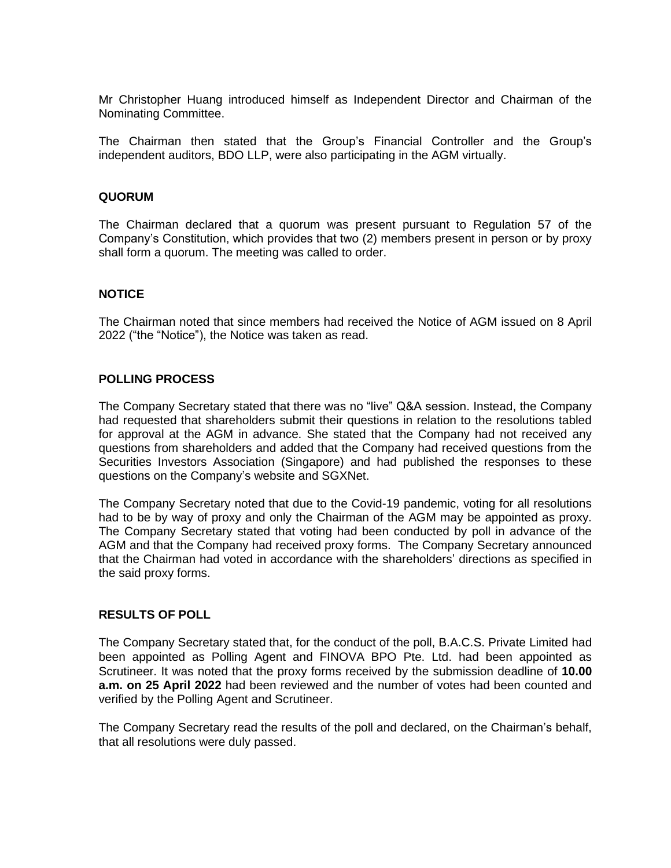Mr Christopher Huang introduced himself as Independent Director and Chairman of the Nominating Committee.

The Chairman then stated that the Group's Financial Controller and the Group's independent auditors, BDO LLP, were also participating in the AGM virtually.

#### **QUORUM**

The Chairman declared that a quorum was present pursuant to Regulation 57 of the Company's Constitution, which provides that two (2) members present in person or by proxy shall form a quorum. The meeting was called to order.

#### **NOTICE**

The Chairman noted that since members had received the Notice of AGM issued on 8 April 2022 ("the "Notice"), the Notice was taken as read.

#### **POLLING PROCESS**

The Company Secretary stated that there was no "live" Q&A session. Instead, the Company had requested that shareholders submit their questions in relation to the resolutions tabled for approval at the AGM in advance. She stated that the Company had not received any questions from shareholders and added that the Company had received questions from the Securities Investors Association (Singapore) and had published the responses to these questions on the Company's website and SGXNet.

The Company Secretary noted that due to the Covid-19 pandemic, voting for all resolutions had to be by way of proxy and only the Chairman of the AGM may be appointed as proxy. The Company Secretary stated that voting had been conducted by poll in advance of the AGM and that the Company had received proxy forms. The Company Secretary announced that the Chairman had voted in accordance with the shareholders' directions as specified in the said proxy forms.

#### **RESULTS OF POLL**

The Company Secretary stated that, for the conduct of the poll, B.A.C.S. Private Limited had been appointed as Polling Agent and FINOVA BPO Pte. Ltd. had been appointed as Scrutineer. It was noted that the proxy forms received by the submission deadline of **10.00 a.m. on 25 April 2022** had been reviewed and the number of votes had been counted and verified by the Polling Agent and Scrutineer.

The Company Secretary read the results of the poll and declared, on the Chairman's behalf, that all resolutions were duly passed.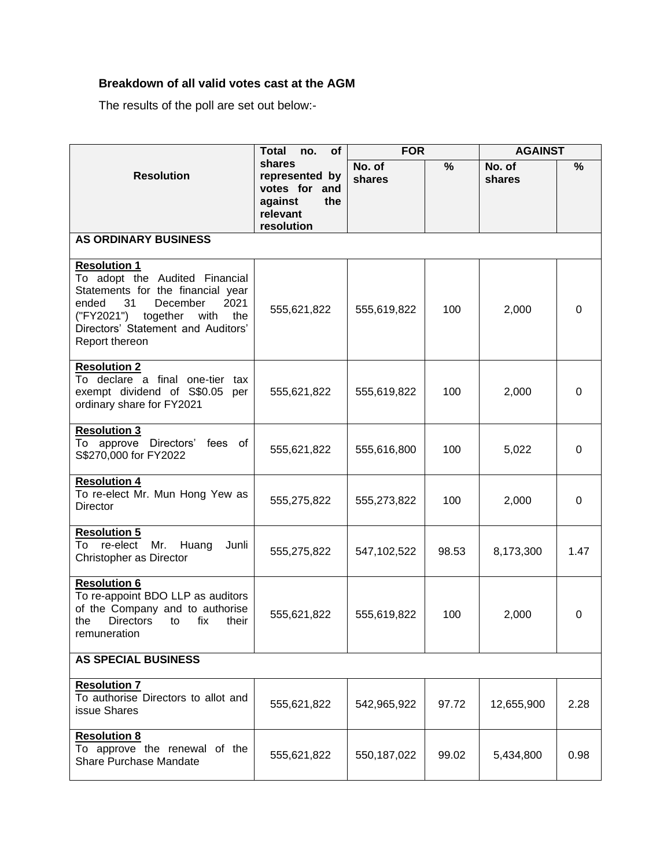## **Breakdown of all valid votes cast at the AGM**

The results of the poll are set out below:-

|                                                                                                                                                                                                                                | <b>Total</b><br>of<br>no.                                                             | <b>FOR</b>       |       | <b>AGAINST</b>   |               |  |  |  |  |  |
|--------------------------------------------------------------------------------------------------------------------------------------------------------------------------------------------------------------------------------|---------------------------------------------------------------------------------------|------------------|-------|------------------|---------------|--|--|--|--|--|
| <b>Resolution</b>                                                                                                                                                                                                              | shares<br>represented by<br>votes for and<br>against<br>the<br>relevant<br>resolution | No. of<br>shares | %     | No. of<br>shares | $\frac{0}{0}$ |  |  |  |  |  |
| <b>AS ORDINARY BUSINESS</b>                                                                                                                                                                                                    |                                                                                       |                  |       |                  |               |  |  |  |  |  |
| <b>Resolution 1</b><br>To adopt the Audited Financial<br>Statements for the financial year<br>31<br>2021<br>ended<br>December<br>("FY2021")<br>together<br>with<br>the<br>Directors' Statement and Auditors'<br>Report thereon | 555,621,822                                                                           | 555,619,822      | 100   | 2,000            | 0             |  |  |  |  |  |
| <b>Resolution 2</b><br>To declare a final one-tier<br>tax<br>exempt dividend of S\$0.05<br>per<br>ordinary share for FY2021                                                                                                    | 555,621,822                                                                           | 555,619,822      | 100   | 2,000            | 0             |  |  |  |  |  |
| <b>Resolution 3</b><br>To approve Directors'<br>fees of<br>S\$270,000 for FY2022                                                                                                                                               | 555,621,822                                                                           | 555,616,800      | 100   | 5,022            | 0             |  |  |  |  |  |
| <b>Resolution 4</b><br>To re-elect Mr. Mun Hong Yew as<br><b>Director</b>                                                                                                                                                      | 555,275,822                                                                           | 555,273,822      | 100   | 2,000            | 0             |  |  |  |  |  |
| <b>Resolution 5</b><br>To re-elect<br>Mr.<br>Huang<br>Junli<br>Christopher as Director                                                                                                                                         | 555,275,822                                                                           | 547,102,522      | 98.53 | 8,173,300        | 1.47          |  |  |  |  |  |
| <b>Resolution 6</b><br>To re-appoint BDO LLP as auditors<br>of the Company and to authorise<br><b>Directors</b><br>fix<br>their<br>to<br>the<br>remuneration                                                                   | 555,621,822                                                                           | 555,619,822      | 100   | 2,000            | 0             |  |  |  |  |  |
| <b>AS SPECIAL BUSINESS</b>                                                                                                                                                                                                     |                                                                                       |                  |       |                  |               |  |  |  |  |  |
| <b>Resolution 7</b><br>To authorise Directors to allot and<br>issue Shares                                                                                                                                                     | 555,621,822                                                                           | 542,965,922      | 97.72 | 12,655,900       | 2.28          |  |  |  |  |  |
| <b>Resolution 8</b><br>To approve the renewal of the<br>Share Purchase Mandate                                                                                                                                                 | 555,621,822                                                                           | 550, 187, 022    | 99.02 | 5,434,800        | 0.98          |  |  |  |  |  |